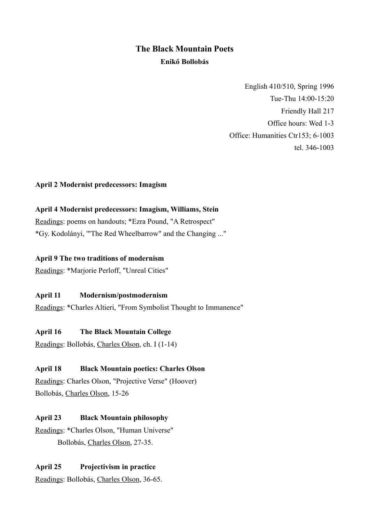# **The Black Mountain Poets Enikő Bollobás**

English 410/510, Spring 1996 Tue-Thu 14:00-15:20 Friendly Hall 217 Office hours: Wed 1-3 Office: Humanities Ctr153; 6-1003 tel. 346-1003

#### **April 2 Modernist predecessors: Imagism**

#### **April 4 Modernist predecessors: Imagism, Williams, Stein**

Readings: poems on handouts; \*Ezra Pound, "A Retrospect" \*Gy. Kodolányi, '"The Red Wheelbarrow" and the Changing ..."

#### **April 9 The two traditions of modernism**

Readings: \*Marjorie Perloff, "Unreal Cities"

#### **April 11 Modernism/postmodernism**

Readings: \*Charles Altieri, "From Symbolist Thought to Immanence"

#### **April 16 The Black Mountain College**

Readings: Bollobás, Charles Olson, ch. I (1-14)

#### **April 18 Black Mountain poetics: Charles Olson**

Readings: Charles Olson, "Projective Verse" (Hoover) Bollobás, Charles Olson, 15-26

# **April 23 Black Mountain philosophy**

Readings: \*Charles Olson, "Human Universe" Bollobás, Charles Olson, 27-35.

#### **April 25 Projectivism in practice**

Readings: Bollobás, Charles Olson, 36-65.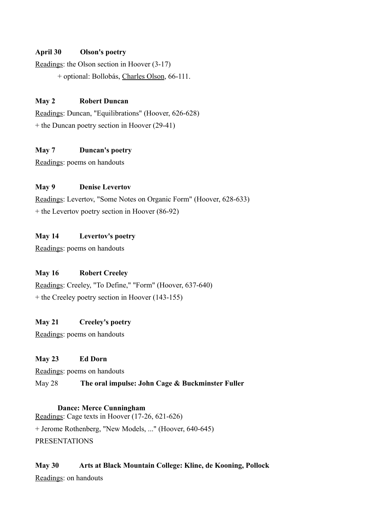# **April 30 Olson's poetry**

Readings: the Olson section in Hoover (3-17)

+ optional: Bollobás, Charles Olson, 66-111.

#### **May 2 Robert Duncan**

Readings: Duncan, "Equilibrations" (Hoover, 626-628) + the Duncan poetry section in Hoover (29-41)

# **May 7 Duncan's poetry**

Readings: poems on handouts

#### **May 9 Denise Levertov**

Readings: Levertov, "Some Notes on Organic Form" (Hoover, 628-633)  $+$  the Levertov poetry section in Hoover (86-92)

# **May 14 Levertov's poetry**

Readings: poems on handouts

# **May 16 Robert Creeley**

Readings: Creeley, "To Define," "Form" (Hoover, 637-640) + the Creeley poetry section in Hoover (143-155)

# **May 21 Creeley's poetry**

Readings: poems on handouts

# **May 23 Ed Dorn**

Readings: poems on handouts

# May 28 **The oral impulse: John Cage & Buckminster Fuller**

# **Dance: Merce Cunningham**

Readings: Cage texts in Hoover (17-26, 621-626) + Jerome Rothenberg, "New Models, ..." (Hoover, 640-645) PRESENTATIONS

# **May 30 Arts at Black Mountain College: Kline, de Kooning, Pollock**

Readings: on handouts